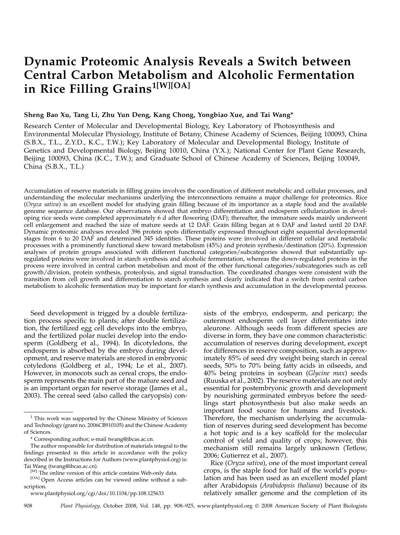# Dynamic Proteomic Analysis Reveals a Switch between Central Carbon Metabolism and Alcoholic Fermentation in Rice Filling Grains<sup>1[W][OA]</sup>

## Sheng Bao Xu, Tang Li, Zhu Yun Deng, Kang Chong, Yongbiao Xue, and Tai Wang\*

Research Center of Molecular and Developmental Biology, Key Laboratory of Photosynthesis and Environmental Molecular Physiology, Institute of Botany, Chinese Academy of Sciences, Beijing 100093, China (S.B.X., T.L., Z.Y.D., K.C., T.W.); Key Laboratory of Molecular and Developmental Biology, Institute of Genetics and Developmental Biology, Beijing 10010, China (Y.X.); National Center for Plant Gene Research, Beijing 100093, China (K.C., T.W.); and Graduate School of Chinese Academy of Sciences, Beijing 100049, China (S.B.X., T.L.)

Accumulation of reserve materials in filling grains involves the coordination of different metabolic and cellular processes, and understanding the molecular mechanisms underlying the interconnections remains a major challenge for proteomics. Rice (Oryza sativa) is an excellent model for studying grain filling because of its importance as a staple food and the available genome sequence database. Our observations showed that embryo differentiation and endosperm cellularization in developing rice seeds were completed approximately 6 d after flowering (DAF); thereafter, the immature seeds mainly underwent cell enlargement and reached the size of mature seeds at 12 DAF. Grain filling began at 6 DAF and lasted until 20 DAF. Dynamic proteomic analyses revealed 396 protein spots differentially expressed throughout eight sequential developmental stages from 6 to 20 DAF and determined 345 identities. These proteins were involved in different cellular and metabolic processes with a prominently functional skew toward metabolism (45%) and protein synthesis/destination (20%). Expression analyses of protein groups associated with different functional categories/subcategories showed that substantially upregulated proteins were involved in starch synthesis and alcoholic fermentation, whereas the down-regulated proteins in the process were involved in central carbon metabolism and most of the other functional categories/subcategories such as cell growth/division, protein synthesis, proteolysis, and signal transduction. The coordinated changes were consistent with the transition from cell growth and differentiation to starch synthesis and clearly indicated that a switch from central carbon metabolism to alcoholic fermentation may be important for starch synthesis and accumulation in the developmental process.

Seed development is trigged by a double fertilization process specific to plants; after double fertilization, the fertilized egg cell develops into the embryo, and the fertilized polar nuclei develop into the endosperm (Goldberg et al., 1994). In dicotyledons, the endosperm is absorbed by the embryo during development, and reserve materials are stored in embryonic cotyledons (Goldberg et al., 1994; Le et al., 2007). However, in monocots such as cereal crops, the endosperm represents the main part of the mature seed and is an important organ for reserve storage (James et al., 2003). The cereal seed (also called the caryopsis) con-

www.plantphysiol.org/cgi/doi/10.1104/pp.108.125633

sists of the embryo, endosperm, and pericarp; the outermost endosperm cell layer differentiates into aleurone. Although seeds from different species are diverse in form, they have one common characteristic: accumulation of reserves during development, except for differences in reserve composition, such as approximately 85% of seed dry weight being starch in cereal seeds, 50% to 70% being fatty acids in oilseeds, and 40% being proteins in soybean (Glycine max) seeds (Ruuska et al., 2002). The reserve materials are not only essential for postembryonic growth and development by nourishing germinated embryos before the seedlings start photosynthesis but also make seeds an important food source for humans and livestock. Therefore, the mechanism underlying the accumulation of reserves during seed development has become a hot topic and is a key scaffold for the molecular control of yield and quality of crops; however, this mechanism still remains largely unknown (Tetlow, 2006; Gutierrez et al., 2007).

Rice (Oryza sativa), one of the most important cereal crops, is the staple food for half of the world's population and has been used as an excellent model plant after Arabidopsis (Arabidopsis thaliana) because of its relatively smaller genome and the completion of its

908 Plant Physiology, October 2008, Vol. 148, pp. 908–925, www.plantphysiol.org © 2008 American Society of Plant Biologists

 $1$  This work was supported by the Chinese Ministry of Sciences and Technology (grant no. 2006CB910105) and the Chinese Academy of Sciences.

<sup>\*</sup> Corresponding author; e-mail twang@ibcas.ac.cn.

The author responsible for distribution of materials integral to the findings presented in this article in accordance with the policy described in the Instructions for Authors (www.plantphysiol.org) is: Tai Wang (twang@ibcas.ac.cn).

<sup>[</sup>W] The online version of this article contains Web-only data.

<sup>[</sup>OA] Open Access articles can be viewed online without a subscription.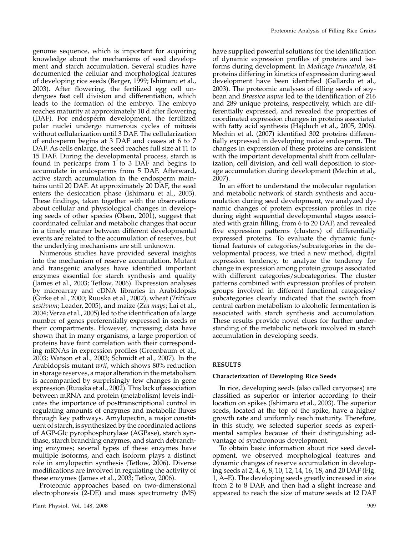genome sequence, which is important for acquiring knowledge about the mechanisms of seed development and starch accumulation. Several studies have documented the cellular and morphological features of developing rice seeds (Berger, 1999; Ishimaru et al., 2003). After flowering, the fertilized egg cell undergoes fast cell division and differentiation, which leads to the formation of the embryo. The embryo reaches maturity at approximately 10 d after flowering (DAF). For endosperm development, the fertilized polar nuclei undergo numerous cycles of mitosis without cellularization until 3 DAF. The cellularization of endosperm begins at 3 DAF and ceases at 6 to 7 DAF. As cells enlarge, the seed reaches full size at 11 to 15 DAF. During the developmental process, starch is found in pericarps from 1 to 3 DAF and begins to accumulate in endosperms from 5 DAF. Afterward, active starch accumulation in the endosperm maintains until 20 DAF. At approximately 20 DAF, the seed enters the desiccation phase (Ishimaru et al., 2003). These findings, taken together with the observations about cellular and physiological changes in developing seeds of other species (Olsen, 2001), suggest that coordinated cellular and metabolic changes that occur in a timely manner between different developmental events are related to the accumulation of reserves, but the underlying mechanisms are still unknown.

Numerous studies have provided several insights into the mechanism of reserve accumulation. Mutant and transgenic analyses have identified important enzymes essential for starch synthesis and quality (James et al., 2003; Tetlow, 2006). Expression analyses by microarray and cDNA libraries in Arabidopsis (Girke et al., 2000; Ruuska et al., 2002), wheat (Triticum aestivum; Leader, 2005), and maize (Zea mays; Lai et al., 2004; Verza et al., 2005) led to the identification of a large number of genes preferentially expressed in seeds or their compartments. However, increasing data have shown that in many organisms, a large proportion of proteins have faint correlation with their corresponding mRNAs in expression profiles (Greenbaum et al., 2003; Watson et al., 2003; Schmidt et al., 2007). In the Arabidopsis mutant *wril*, which shows 80% reduction in storage reserves, a major alteration in the metabolism is accompanied by surprisingly few changes in gene expression (Ruuska et al., 2002). This lack of association between mRNA and protein (metabolism) levels indicates the importance of posttranscriptional control in regulating amounts of enzymes and metabolic fluxes through key pathways. Amylopectin, a major constituent of starch, is synthesized by the coordinated actions of AGP-Glc pyrophosphorylase (AGPase), starch synthase, starch branching enzymes, and starch debranching enzymes; several types of these enzymes have multiple isoforms, and each isoform plays a distinct role in amylopectin synthesis (Tetlow, 2006). Diverse modifications are involved in regulating the activity of these enzymes (James et al., 2003; Tetlow, 2006).

Proteomic approaches based on two-dimensional electrophoresis (2-DE) and mass spectrometry (MS) have supplied powerful solutions for the identification of dynamic expression profiles of proteins and isoforms during development. In Medicago truncatula, 84 proteins differing in kinetics of expression during seed development have been identified (Gallardo et al., 2003). The proteomic analyses of filling seeds of soybean and Brassica napus led to the identification of 216 and 289 unique proteins, respectively, which are differentially expressed, and revealed the properties of coordinated expression changes in proteins associated with fatty acid synthesis (Hajduch et al., 2005, 2006). Mechin et al. (2007) identified 302 proteins differentially expressed in developing maize endosperm. The changes in expression of these proteins are consistent with the important developmental shift from cellularization, cell division, and cell wall deposition to storage accumulation during development (Mechin et al., 2007).

In an effort to understand the molecular regulation and metabolic network of starch synthesis and accumulation during seed development, we analyzed dynamic changes of protein expression profiles in rice during eight sequential developmental stages associated with grain filling, from 6 to 20 DAF, and revealed five expression patterns (clusters) of differentially expressed proteins. To evaluate the dynamic functional features of categories/subcategories in the developmental process, we tried a new method, digital expression tendency, to analyze the tendency for change in expression among protein groups associated with different categories/subcategories. The cluster patterns combined with expression profiles of protein groups involved in different functional categories/ subcategories clearly indicated that the switch from central carbon metabolism to alcoholic fermentation is associated with starch synthesis and accumulation. These results provide novel clues for further understanding of the metabolic network involved in starch accumulation in developing seeds.

## RESULTS

#### Characterization of Developing Rice Seeds

In rice, developing seeds (also called caryopses) are classified as superior or inferior according to their location on spikes (Ishimaru et al., 2003). The superior seeds, located at the top of the spike, have a higher growth rate and uniformly reach maturity. Therefore, in this study, we selected superior seeds as experimental samples because of their distinguishing advantage of synchronous development.

To obtain basic information about rice seed development, we observed morphological features and dynamic changes of reserve accumulation in developing seeds at 2, 4, 6, 8, 10, 12, 14, 16, 18, and 20 DAF (Fig. 1, A–E). The developing seeds greatly increased in size from 2 to 8 DAF, and then had a slight increase and appeared to reach the size of mature seeds at 12 DAF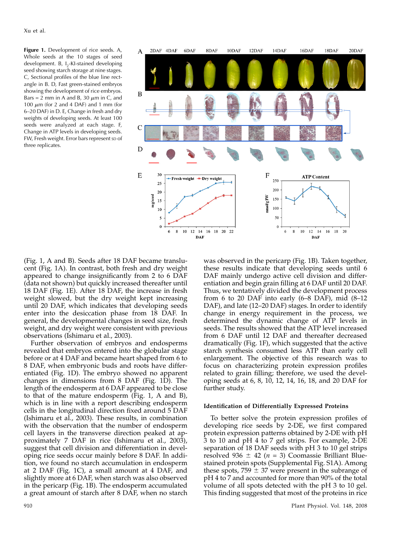Xu et al.

Figure 1. Development of rice seeds. A, Whole seeds at the 10 stages of seed development. B,  $I_2$ -KI-stained developing seed showing starch storage at nine stages. C, Sectional profiles of the blue line rectangle in B. D, Fast green-stained embryos showing the development of rice embryos. Bars = 2 mm in A and B, 30  $\mu$ m in C, and 100  $\mu$ m (for 2 and 4 DAF) and 1 mm (for 6–20 DAF) in D. E, Change in fresh and dry weights of developing seeds. At least 100 seeds were analyzed at each stage. F, Change in ATP levels in developing seeds. FW, Fresh weight. Error bars represent sp of three replicates.



(Fig. 1, A and B). Seeds after 18 DAF became translucent (Fig. 1A). In contrast, both fresh and dry weight appeared to change insignificantly from 2 to 6 DAF (data not shown) but quickly increased thereafter until 18 DAF (Fig. 1E). After 18 DAF, the increase in fresh weight slowed, but the dry weight kept increasing until 20 DAF, which indicates that developing seeds enter into the desiccation phase from 18 DAF. In general, the developmental changes in seed size, fresh weight, and dry weight were consistent with previous observations (Ishimaru et al., 2003).

Further observation of embryos and endosperms revealed that embryos entered into the globular stage before or at 4 DAF and became heart shaped from 6 to 8 DAF, when embryonic buds and roots have differentiated (Fig. 1D). The embryo showed no apparent changes in dimensions from 8 DAF (Fig. 1D). The length of the endosperm at 6 DAF appeared to be close to that of the mature endosperm (Fig. 1, A and B), which is in line with a report describing endosperm cells in the longitudinal direction fixed around 5 DAF (Ishimaru et al., 2003). These results, in combination with the observation that the number of endosperm cell layers in the transverse direction peaked at approximately 7 DAF in rice (Ishimaru et al., 2003), suggest that cell division and differentiation in developing rice seeds occur mainly before 8 DAF. In addition, we found no starch accumulation in endosperm at 2 DAF (Fig. 1C), a small amount at 4 DAF, and slightly more at 6 DAF, when starch was also observed in the pericarp (Fig. 1B). The endosperm accumulated a great amount of starch after 8 DAF, when no starch was observed in the pericarp (Fig. 1B). Taken together, these results indicate that developing seeds until 6 DAF mainly undergo active cell division and differentiation and begin grain filling at 6 DAF until 20 DAF. Thus, we tentatively divided the development process from 6 to 20 DAF into early (6–8 DAF), mid (8–12 DAF), and late (12–20 DAF) stages. In order to identify change in energy requirement in the process, we determined the dynamic change of ATP levels in seeds. The results showed that the ATP level increased from 6 DAF until 12 DAF and thereafter decreased dramatically (Fig. 1F), which suggested that the active starch synthesis consumed less ATP than early cell enlargement. The objective of this research was to focus on characterizing protein expression profiles related to grain filling; therefore, we used the developing seeds at 6, 8, 10, 12, 14, 16, 18, and 20 DAF for further study.

#### Identification of Differentially Expressed Proteins

To better solve the protein expression profiles of developing rice seeds by 2-DE, we first compared protein expression patterns obtained by 2-DE with pH 3 to 10 and pH 4 to 7 gel strips. For example, 2-DE separation of 18 DAF seeds with pH 3 to 10 gel strips resolved 936  $\pm$  42 (n = 3) Coomassie Brilliant Bluestained protein spots (Supplemental Fig. S1A). Among these spots,  $759 \pm 37$  were present in the subrange of pH 4 to 7 and accounted for more than 90% of the total volume of all spots detected with the pH 3 to 10 gel. This finding suggested that most of the proteins in rice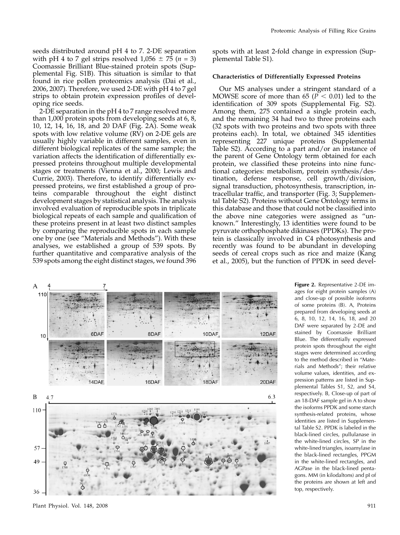seeds distributed around pH 4 to 7. 2-DE separation with pH 4 to 7 gel strips resolved  $1,056 \pm 75$  ( $n = 3$ ) Coomassie Brilliant Blue-stained protein spots (Supplemental Fig. S1B). This situation is similar to that found in rice pollen proteomics analysis (Dai et al., 2006, 2007). Therefore, we used 2-DE with pH 4 to 7 gel strips to obtain protein expression profiles of developing rice seeds.

2-DE separation in the pH 4 to 7 range resolved more than 1,000 protein spots from developing seeds at 6, 8, 10, 12, 14, 16, 18, and 20 DAF (Fig. 2A). Some weak spots with low relative volume (RV) on 2-DE gels are usually highly variable in different samples, even in different biological replicates of the same sample; the variation affects the identification of differentially expressed proteins throughout multiple developmental stages or treatments (Vienna et al., 2000; Lewis and Currie, 2003). Therefore, to identify differentially expressed proteins, we first established a group of proteins comparable throughout the eight distinct development stages by statistical analysis. The analysis involved evaluation of reproducible spots in triplicate biological repeats of each sample and qualification of these proteins present in at least two distinct samples by comparing the reproducible spots in each sample one by one (see "Materials and Methods"). With these analyses, we established a group of 539 spots. By further quantitative and comparative analysis of the 539 spots among the eight distinct stages, we found 396 spots with at least 2-fold change in expression (Supplemental Table S1).

# Characteristics of Differentially Expressed Proteins

Our MS analyses under a stringent standard of a MOWSE score of more than 65 ( $P < 0.01$ ) led to the identification of 309 spots (Supplemental Fig. S2). Among them, 275 contained a single protein each, and the remaining 34 had two to three proteins each (32 spots with two proteins and two spots with three proteins each). In total, we obtained 345 identities representing 227 unique proteins (Supplemental Table S2). According to a part and/or an instance of the parent of Gene Ontology term obtained for each protein, we classified these proteins into nine functional categories: metabolism, protein synthesis/destination, defense response, cell growth/division, signal transduction, photosynthesis, transcription, intracellular traffic, and transporter (Fig. 3; Supplemental Table S2). Proteins without Gene Ontology terms in this database and those that could not be classified into the above nine categories were assigned as "unknown." Interestingly, 13 identities were found to be pyruvate orthophosphate dikinases (PPDKs). The protein is classically involved in C4 photosynthesis and recently was found to be abundant in developing seeds of cereal crops such as rice and maize (Kang et al., 2005), but the function of PPDK in seed devel-



Plant Physiol. Vol. 148, 2008 911

Figure 2. Representative 2-DE images for eight protein samples (A) and close-up of possible isoforms of some proteins (B). A, Proteins prepared from developing seeds at 6, 8, 10, 12, 14, 16, 18, and 20 DAF were separated by 2-DE and stained by Coomassie Brilliant Blue. The differentially expressed protein spots throughout the eight stages were determined according to the method described in "Materials and Methods"; their relative volume values, identities, and expression patterns are listed in Supplemental Tables S1, S2, and S4, respectively. B, Close-up of part of an 18-DAF sample gel in A to show the isoforms PPDK and some starch synthesis-related proteins, whose identities are listed in Supplemental Table S2. PPDK is labeled in the black-lined circles, pullulanase in the white-lined circles, SP in the white-lined triangles, isoamylase in the black-lined rectangles, PPGM in the white-lined rectangles, and AGPase in the black-lined pentagons. MM (in kilodaltons) and pI of the proteins are shown at left and top, respectively.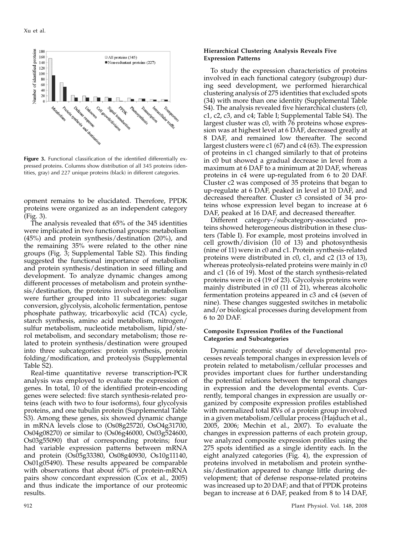

Figure 3. Functional classification of the identified differentially expressed proteins. Columns show distribution of all 345 proteins (identities, gray) and 227 unique proteins (black) in different categories.

opment remains to be elucidated. Therefore, PPDK proteins were organized as an independent category (Fig. 3).

The analysis revealed that 65% of the 345 identities were implicated in two functional groups: metabolism (45%) and protein synthesis/destination (20%), and the remaining 35% were related to the other nine groups (Fig. 3; Supplemental Table S2). This finding suggested the functional importance of metabolism and protein synthesis/destination in seed filling and development. To analyze dynamic changes among different processes of metabolism and protein synthesis/destination, the proteins involved in metabolism were further grouped into 11 subcategories: sugar conversion, glycolysis, alcoholic fermentation, pentose phosphate pathway, tricarboxylic acid (TCA) cycle, starch synthesis, amino acid metabolism, nitrogen/ sulfur metabolism, nucleotide metabolism, lipid/sterol metabolism, and secondary metabolism; those related to protein synthesis/destination were grouped into three subcategories: protein synthesis, protein folding/modification, and proteolysis (Supplemental Table S2).

Real-time quantitative reverse transcription-PCR analysis was employed to evaluate the expression of genes. In total, 10 of the identified protein-encoding genes were selected: five starch synthesis-related proteins (each with two to four isoforms), four glycolysis proteins, and one tubulin protein (Supplemental Table S3). Among these genes, six showed dynamic change in mRNA levels close to (Os08g25720, OsO4g31700, Os04g08270) or similar to (Os06g46000, Os03g524600, Os03g55090) that of corresponding proteins; four had variable expression patterns between mRNA and protein (Os05g33380, Os08g40930, Os10g11140, Os01g05490). These results appeared be comparable with observations that about 60% of protein-mRNA pairs show concordant expression (Cox et al., 2005) and thus indicate the importance of our proteomic results.

#### Hierarchical Clustering Analysis Reveals Five Expression Patterns

To study the expression characteristics of proteins involved in each functional category (subgroup) during seed development, we performed hierarchical clustering analysis of 275 identities that excluded spots (34) with more than one identity (Supplemental Table S4). The analysis revealed five hierarchical clusters (c0, c1, c2, c3, and c4; Table I; Supplemental Table S4). The largest cluster was c0, with  $76$  proteins whose expression was at highest level at 6 DAF, decreased greatly at 8 DAF, and remained low thereafter. The second largest clusters were c1 (67) and c4 (63). The expression of proteins in c1 changed similarly to that of proteins in c0 but showed a gradual decrease in level from a maximum at 6 DAF to a minimum at 20 DAF, whereas proteins in c4 were up-regulated from 6 to 20 DAF. Cluster c2 was composed of 35 proteins that began to up-regulate at 6 DAF, peaked in level at 10 DAF, and decreased thereafter. Cluster c3 consisted of 34 proteins whose expression level began to increase at 6 DAF, peaked at 16 DAF, and decreased thereafter.

Different category-/subcategory-associated proteins showed heterogeneous distribution in these clusters (Table I). For example, most proteins involved in cell growth/division (10 of 13) and photosynthesis (nine of 11) were in c0 and c1. Protein synthesis-related proteins were distributed in c0, c1, and c2 (13 of 13), whereas proteolysis-related proteins were mainly in c0 and c1 (16 of 19). Most of the starch synthesis-related proteins were in c4 (19 of 23). Glycolysis proteins were mainly distributed in c0 (11 of 21), whereas alcoholic fermentation proteins appeared in c3 and c4 (seven of nine). These changes suggested switches in metabolic and/or biological processes during development from 6 to 20 DAF.

## Composite Expression Profiles of the Functional Categories and Subcategories

Dynamic proteomic study of developmental processes reveals temporal changes in expression levels of protein related to metabolism/cellular processes and provides important clues for further understanding the potential relations between the temporal changes in expression and the developmental events. Currently, temporal changes in expression are usually organized by composite expression profiles established with normalized total RVs of a protein group involved in a given metabolism/cellular process (Hajduch et al., 2005, 2006; Mechin et al., 2007). To evaluate the changes in expression patterns of each protein group, we analyzed composite expression profiles using the 275 spots identified as a single identity each. In the eight analyzed categories (Fig. 4), the expression of proteins involved in metabolism and protein synthesis/destination appeared to change little during development; that of defense response-related proteins was increased up to 20 DAF; and that of PPDK proteins began to increase at 6 DAF, peaked from 8 to 14 DAF,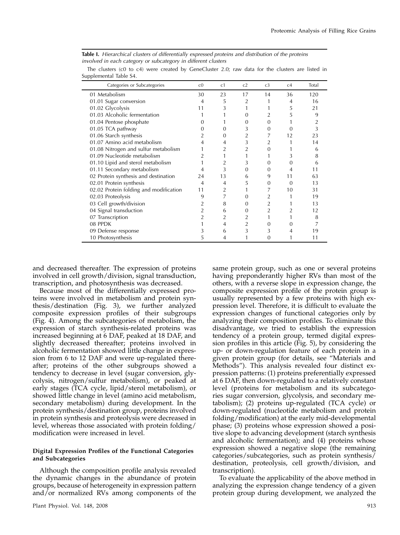Table I. Hierarchical clusters of differentially expressed proteins and distribution of the proteins involved in each category or subcategory in different clusters

The clusters (c0 to c4) were created by GeneCluster 2.0; raw data for the clusters are listed in Supplemental Table S4.

| Categories or Subcategories            | C <sub>0</sub> | C <sub>1</sub> | c <sub>2</sub> | c3 | C <sub>4</sub> | Total |
|----------------------------------------|----------------|----------------|----------------|----|----------------|-------|
| 01 Metabolism                          | 30             | 23             | 17             | 14 | 36             | 120   |
| 01.01 Sugar conversion                 | 4              | 5              | 2              |    | 4              | 16    |
| 01.02 Glycolysis                       | 11             | 3              |                |    | 5              | 21    |
| 01.03 Alcoholic fermentation           |                |                | 0              |    | 5              | 9     |
| 01.04 Pentose phosphate                |                |                | 0              | 0  |                |       |
| 01.05 TCA pathway                      |                | 0              | 3              | 0  | O              |       |
| 01.06 Starch synthesis                 |                | 0              | 2              | 7  | 12             | 23    |
| 01.07 Amino acid metabolism            | 4              |                | 3              | 2  |                | 14    |
| 01.08 Nitrogen and sulfur metabolism   |                | 2              | 2              | 0  |                | 6     |
| 01.09 Nucleotide metabolism            |                |                |                |    | 3              | 8     |
| 01.10 Lipid and sterol metabolism      |                | 2              |                | 0  | 0              | 6     |
| 01.11 Secondary metabolism             | 4              | 3              | 0              | O  | 4              | 11    |
| 02 Protein synthesis and destination   | 24             | 13             | 6              | 9  | 11             | 63    |
| 02.01 Protein synthesis                | 4              | 4              | 5              | 0  | $\Omega$       | 13    |
| 02.02 Protein folding and modification | 11             | 2              |                | 7  | 10             | 31    |
| 02.03 Proteolysis                      | 9              | 7              | $\Omega$       | 2  |                | 19    |
| 03 Cell growth/division                |                | 8              | $\Omega$       | 2  |                | 13    |
| 04 Signal transduction                 |                | 6              | $\Omega$       | 2  |                | 12    |
| 07 Transcription                       |                | 2              | 2              |    |                | 8     |
| 08 PPDK                                |                | 4              | 2              | 0  | O              |       |
| 09 Defense response                    |                | 6              | 3              | 3  | 4              | 19    |
| 10 Photosynthesis                      | 5              | 4              |                | 0  |                | 11    |

and decreased thereafter. The expression of proteins involved in cell growth/division, signal transduction, transcription, and photosynthesis was decreased.

Because most of the differentially expressed proteins were involved in metabolism and protein synthesis/destination (Fig. 3), we further analyzed composite expression profiles of their subgroups (Fig. 4). Among the subcategories of metabolism, the expression of starch synthesis-related proteins was increased beginning at 6 DAF, peaked at 18 DAF, and slightly decreased thereafter; proteins involved in alcoholic fermentation showed little change in expression from 6 to 12 DAF and were up-regulated thereafter; proteins of the other subgroups showed a tendency to decrease in level (sugar conversion, glycolysis, nitrogen/sulfur metabolism), or peaked at early stages (TCA cycle, lipid/sterol metabolism), or showed little change in level (amino acid metabolism, secondary metabolism) during development. In the protein synthesis/destination group, proteins involved in protein synthesis and proteolysis were decreased in level, whereas those associated with protein folding/ modification were increased in level.

## Digital Expression Profiles of the Functional Categories and Subcategories

Although the composition profile analysis revealed the dynamic changes in the abundance of protein groups, because of heterogeneity in expression pattern and/or normalized RVs among components of the same protein group, such as one or several proteins having preponderantly higher RVs than most of the others, with a reverse slope in expression change, the composite expression profile of the protein group is usually represented by a few proteins with high expression level. Therefore, it is difficult to evaluate the expression changes of functional categories only by analyzing their composition profiles. To eliminate this disadvantage, we tried to establish the expression tendency of a protein group, termed digital expression profiles in this article (Fig. 5), by considering the up- or down-regulation feature of each protein in a given protein group (for details, see "Materials and Methods"). This analysis revealed four distinct expression patterns: (1) proteins preferentially expressed at 6 DAF, then down-regulated to a relatively constant level (proteins for metabolism and its subcategories sugar conversion, glycolysis, and secondary metabolism); (2) proteins up-regulated (TCA cycle) or down-regulated (nucleotide metabolism and protein folding/modification) at the early mid-developmental phase; (3) proteins whose expression showed a positive slope to advancing development (starch synthesis and alcoholic fermentation); and (4) proteins whose expression showed a negative slope (the remaining categories/subcategories, such as protein synthesis/ destination, proteolysis, cell growth/division, and transcription).

To evaluate the applicability of the above method in analyzing the expression change tendency of a given protein group during development, we analyzed the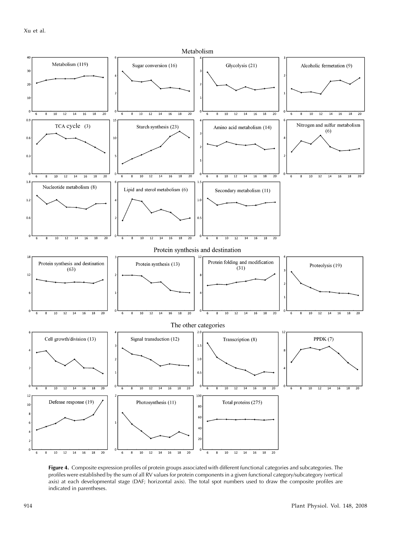

Figure 4. Composite expression profiles of protein groups associated with different functional categories and subcategories. The profiles were established by the sum of all RV values for protein components in a given functional category/subcategory (vertical axis) at each developmental stage (DAF; horizontal axis). The total spot numbers used to draw the composite profiles are indicated in parentheses.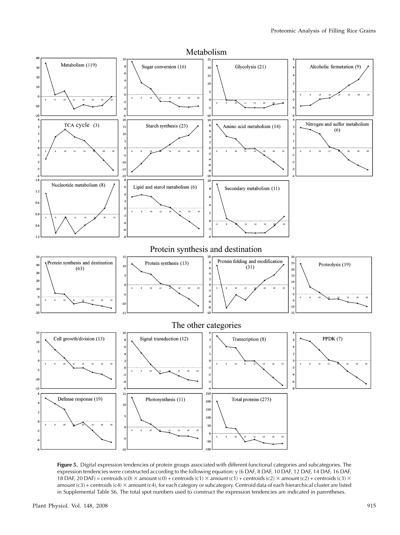

Figure 5. Digital expression tendencies of protein groups associated with different functional categories and subcategories. The expression tendencies were constructed according to the following equation: y (6 DAF, 8 DAF, 10 DAF, 12 DAF, 14 DAF, 16 DAF, 18 DAF, 20 DAF) = centroids (c0)  $\times$  amount (c0) + centroids (c1)  $\times$  amount (c1) + centroids (c2)  $\times$  amount (c2) + centroids (c3)  $\times$ amount  $(c3)$  + centroids  $(c4)$   $\times$  amount  $(c4)$ , for each category or subcategory. Centroid data of each hierarchical cluster are listed in Supplemental Table S6. The total spot numbers used to construct the expression tendencies are indicated in parentheses.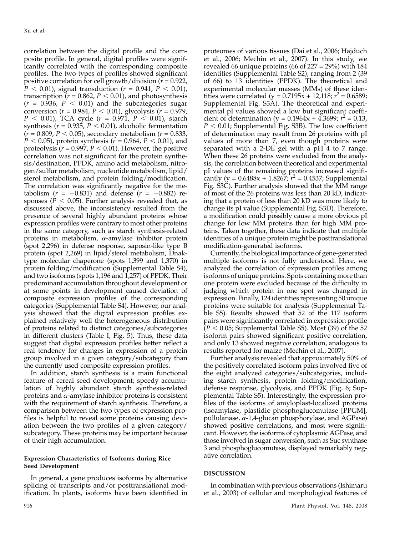correlation between the digital profile and the composite profile. In general, digital profiles were significantly correlated with the corresponding composite profiles. The two types of profiles showed significant positive correlation for cell growth/division  $(r = 0.922)$ ,  $\dot{P}$  < 0.01), signal transduction (*r* = 0.941, *P* < 0.01), transcription ( $r = 0.862$ ,  $P < 0.01$ ), and photosynthesis  $(r = 0.936, P < 0.01)$  and the subcategories sugar conversion ( $r = 0.984$ ,  $P < 0.01$ ), glycolysis ( $r = 0.979$ ,  $P < 0.01$ ), TCA cycle ( $r = 0.971$ ,  $P < 0.01$ ), starch synthesis ( $r = 0.935$ ,  $P < 0.01$ ), alcoholic fermentation  $(r = 0.809, P < 0.05)$ , secondary metabolism  $(r = 0.833, P < 0.05)$  $P < 0.05$ ), protein synthesis ( $r = 0.964$ ,  $P < 0.01$ ), and proteolysis ( $r = 0.997$ ,  $P < 0.01$ ). However, the positive correlation was not significant for the protein synthesis/destination, PPDK, amino acid metabolism, nitrogen/sulfur metabolism, nucleotide metabolism, lipid/ sterol metabolism, and protein folding/modification. The correlation was significantly negative for the metabolism ( $r = -0.831$ ) and defense ( $r = -0.882$ ) responses ( $P < 0.05$ ). Further analysis revealed that, as discussed above, the inconsistency resulted from the presence of several highly abundant proteins whose expression profiles were contrary to most other proteins in the same category, such as starch synthesis-related proteins in metabolism,  $\alpha$ -amylase inhibitor protein (spot 2,296) in defense response, saposin-like type B protein (spot 2,269) in lipid/sterol metabolism, Dnaktype molecular chaperone (spots 1,399 and 1,370) in protein folding/modification (Supplemental Table S4), and two isoforms (spots 1,196 and 1,257) of PPDK. Their predominant accumulation throughout development or at some points in development caused deviation of composite expression profiles of the corresponding categories (Supplemental Table S4). However, our analysis showed that the digital expression profiles explained relatively well the heterogeneous distribution of proteins related to distinct categories/subcategories in different clusters (Table I; Fig. 5). Thus, these data suggest that digital expression profiles better reflect a real tendency for changes in expression of a protein group involved in a given category/subcategory than the currently used composite expression profiles.

In addition, starch synthesis is a main functional feature of cereal seed development; speedy accumulation of highly abundant starch synthesis-related proteins and  $\alpha$ -amylase inhibitor proteins is consistent with the requirement of starch synthesis. Therefore, a comparison between the two types of expression profiles is helpful to reveal some proteins causing deviation between the two profiles of a given category/ subcategory. These proteins may be important because of their high accumulation.

# Expression Characteristics of Isoforms during Rice Seed Development

In general, a gene produces isoforms by alternative splicing of transcripts and/or posttranslational modification. In plants, isoforms have been identified in proteomes of various tissues (Dai et al., 2006; Hajduch et al., 2006; Mechin et al., 2007). In this study, we revealed 66 unique proteins (66 of 227 = 29%) with 184 identities (Supplemental Table S2), ranging from 2 (39 of 66) to 13 identities (PPDK). The theoretical and experimental molecular masses (MMs) of these identities were correlated (y =  $0.7195x + 12,118; r^2 = 0.6589;$ Supplemental Fig. S3A). The theoretical and experimental pI values showed a low but significant coefficient of determination (y =  $0.1964x + 4.3699$ ;  $r^2 = 0.13$ ,  $P < 0.01$ ; Supplemental Fig. S3B). The low coefficient of determination may result from 26 proteins with pI values of more than 7, even though proteins were separated with a 2-DE gel with a  $\bar{p}H^2$  to 7 range. When these 26 proteins were excluded from the analysis, the correlation between theoretical and experimental pI values of the remaining proteins increased significantly (y =  $0.6488x + 1.8267$ ;  $r^2 = 0.4537$ ; Supplemental Fig. S3C). Further analysis showed that the MM range of most of the 26 proteins was less than 20 kD, indicating that a protein of less than 20 kD was more likely to change its pI value (Supplemental Fig. S3D). Therefore, a modification could possibly cause a more obvious pI change for low MM proteins than for high MM proteins. Taken together, these data indicate that multiple identities of a unique protein might be posttranslational modification-generated isoforms.

Currently, the biological importance of gene-generated multiple isoforms is not fully understood. Here, we analyzed the correlation of expression profiles among isoforms of unique proteins. Spots containing more than one protein were excluded because of the difficulty in judging which protein in one spot was changed in expression. Finally, 124 identities representing 50 unique proteins were suitable for analysis (Supplemental Table S5). Results showed that 52 of the 117 isoform pairs were significantly correlated in expression profile  $($ P  $<$  0.05; Supplemental Table S5). Most (39) of the 52 isoform pairs showed significant positive correlation, and only 13 showed negative correlation, analogous to results reported for maize (Mechin et al., 2007).

Further analysis revealed that approximately 50% of the positively correlated isoform pairs involved five of the eight analyzed categories/subcategories, including starch synthesis, protein folding/modification, defense response, glycolysis, and PPDK (Fig. 6; Supplemental Table S5). Interestingly, the expression profiles of the isoforms of amyloplast-localized proteins (isoamylase, plastidic phosphoglucomutase [PPGM], pullulanase,  $\alpha$ -1,4-glucan phosphorylase, and AGPase) showed positive correlations, and most were significant. However, the isoforms of cytoplasmic AGPase, and those involved in sugar conversion, such as Suc synthase 3 and phosphoglucomutase, displayed remarkably negative correlation.

## DISCUSSION

In combination with previous observations (Ishimaru et al., 2003) of cellular and morphological features of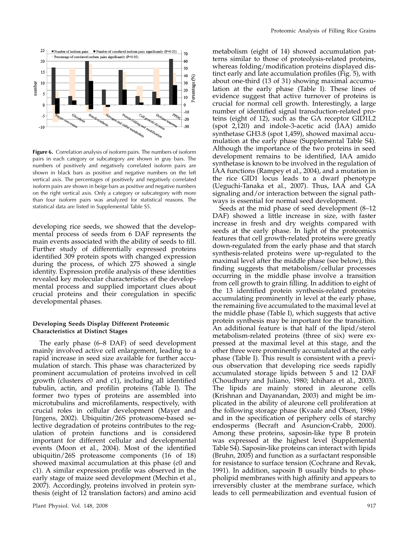

Figure 6. Correlation analysis of isoform pairs. The numbers of isoform pairs in each category or subcategory are shown in gray bars. The numbers of positively and negatively correlated isoform pairs are shown in black bars as positive and negative numbers on the left vertical axis. The percentages of positively and negatively correlated isoform pairs are shown in beige bars as positive and negative numbers on the right vertical axis. Only a category or subcategory with more than four isoform pairs was analyzed for statistical reasons. The statistical data are listed in Supplemental Table S5.

developing rice seeds, we showed that the developmental process of seeds from 6 DAF represents the main events associated with the ability of seeds to fill. Further study of differentially expressed proteins identified 309 protein spots with changed expression during the process, of which 275 showed a single identity. Expression profile analysis of these identities revealed key molecular characteristics of the developmental process and supplied important clues about crucial proteins and their coregulation in specific developmental phases.

## Developing Seeds Display Different Proteomic Characteristics at Distinct Stages

The early phase (6–8 DAF) of seed development mainly involved active cell enlargement, leading to a rapid increase in seed size available for further accumulation of starch. This phase was characterized by prominent accumulation of proteins involved in cell growth (clusters c0 and c1), including all identified tubulin, actin, and profilin proteins (Table I). The former two types of proteins are assembled into microtubulins and microfilaments, respectively, with crucial roles in cellular development (Mayer and Jürgens, 2002). Ubiquitin/26S proteasome-based selective degradation of proteins contributes to the regulation of protein functions and is considered important for different cellular and developmental events (Moon et al., 2004). Most of the identified ubiquitin/26S proteasome components (16 of 18) showed maximal accumulation at this phase (c0 and c1). A similar expression profile was observed in the early stage of maize seed development (Mechin et al., 2007). Accordingly, proteins involved in protein synthesis (eight of 12 translation factors) and amino acid

metabolism (eight of 14) showed accumulation patterns similar to those of proteolysis-related proteins, whereas folding/modification proteins displayed distinct early and late accumulation profiles (Fig. 5), with about one-third (13 of 31) showing maximal accumulation at the early phase (Table I). These lines of evidence suggest that active turnover of proteins is crucial for normal cell growth. Interestingly, a large number of identified signal transduction-related proteins (eight of 12), such as the GA receptor GID1L2 (spot 2,120) and indole-3-acetic acid (IAA) amido synthetase GH3.8 (spot 1,459), showed maximal accumulation at the early phase (Supplemental Table S4). Although the importance of the two proteins in seed development remains to be identified, IAA amido synthetase is known to be involved in the regulation of IAA functions (Rampey et al., 2004), and a mutation in the rice GID1 locus leads to a dwarf phenotype (Ueguchi-Tanaka et al., 2007). Thus, IAA and GA signaling and/or interaction between the signal pathways is essential for normal seed development.

Seeds at the mid phase of seed development (8–12 DAF) showed a little increase in size, with faster increase in fresh and dry weights compared with seeds at the early phase. In light of the proteomics features that cell growth-related proteins were greatly down-regulated from the early phase and that starch synthesis-related proteins were up-regulated to the maximal level after the middle phase (see below), this finding suggests that metabolism/cellular processes occurring in the middle phase involve a transition from cell growth to grain filling. In addition to eight of the 13 identified protein synthesis-related proteins accumulating prominently in level at the early phase, the remaining five accumulated to the maximal level at the middle phase (Table I), which suggests that active protein synthesis may be important for the transition. An additional feature is that half of the lipid/sterol metabolism-related proteins (three of six) were expressed at the maximal level at this stage, and the other three were prominently accumulated at the early phase (Table I). This result is consistent with a previous observation that developing rice seeds rapidly accumulated storage lipids between 5 and 12 DAF (Choudhury and Juliano, 1980; Ichihara et al., 2003). The lipids are mainly stored in aleurone cells (Krishnan and Dayanandan, 2003) and might be implicated in the ability of aleurone cell proliferation at the following storage phase (Kvaale and Olsen, 1986) and in the specification of periphery cells of starchy endosperms (Becraft and Asuncion-Crabb, 2000). Among these proteins, saposin-like type B protein was expressed at the highest level (Supplemental Table S4). Saposin-like proteins can interact with lipids (Bruhn, 2005) and function as a surfactant responsible for resistance to surface tension (Cochrane and Revak, 1991). In addition, saposin B usually binds to phospholipid membranes with high affinity and appears to irreversibly cluster at the membrane surface, which leads to cell permeabilization and eventual fusion of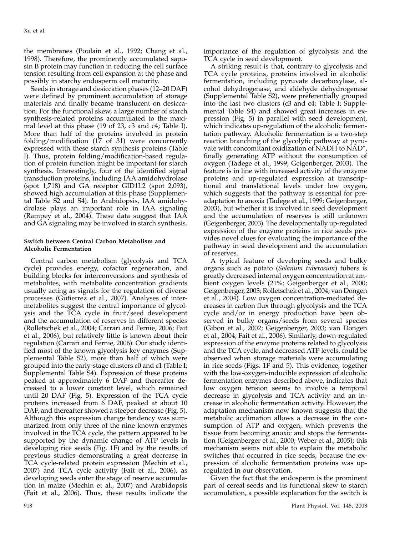the membranes (Poulain et al., 1992; Chang et al., 1998). Therefore, the prominently accumulated saposin B protein may function in reducing the cell surface tension resulting from cell expansion at the phase and possibly in starchy endosperm cell maturity.

Seeds in storage and desiccation phases (12–20 DAF) were defined by prominent accumulation of storage materials and finally became translucent on desiccation. For the functional skew, a large number of starch synthesis-related proteins accumulated to the maximal level at this phase (19 of 23, c3 and c4; Table I). More than half of the proteins involved in protein folding/modification (17 of 31) were concurrently expressed with these starch synthesis proteins (Table I). Thus, protein folding/modification-based regulation of protein function might be important for starch synthesis. Interestingly, four of the identified signal transduction proteins, including IAA amidohydrolase (spot 1,718) and GA receptor GID1L2 (spot 2,093), showed high accumulation at this phase (Supplemental Table S2 and S4). In Arabidopsis, IAA amidohydrolase plays an important role in IAA signaling (Rampey et al., 2004). These data suggest that IAA and GA signaling may be involved in starch synthesis.

## Switch between Central Carbon Metabolism and Alcoholic Fermentation

Central carbon metabolism (glycolysis and TCA cycle) provides energy, cofactor regeneration, and building blocks for interconversions and synthesis of metabolites, with metabolite concentration gradients usually acting as signals for the regulation of diverse processes (Gutierrez et al., 2007). Analyses of intermetabolites suggest the central importance of glycolysis and the TCA cycle in fruit/seed development and the accumulation of reserves in different species (Rolletschek et al., 2004; Carrari and Fernie, 2006; Fait et al., 2006), but relatively little is known about their regulation (Carrari and Fernie, 2006). Our study identified most of the known glycolysis key enzymes (Supplemental Table S2), more than half of which were grouped into the early-stage clusters c0 and c1 (Table I; Supplemental Table S4). Expression of these proteins peaked at approximately  $\vec{6}$  DAF and thereafter decreased to a lower constant level, which remained until 20 DAF (Fig. 5). Expression of the TCA cycle proteins increased from 6 DAF, peaked at about 10 DAF, and thereafter showed a steeper decrease (Fig. 5). Although this expression change tendency was summarized from only three of the nine known enzymes involved in the TCA cycle, the pattern appeared to be supported by the dynamic change of ATP levels in developing rice seeds (Fig. 1F) and by the results of previous studies demonstrating a great decrease in TCA cycle-related protein expression (Mechin et al., 2007) and TCA cycle activity (Fait et al., 2006), as developing seeds enter the stage of reserve accumulation in maize (Mechin et al., 2007) and Arabidopsis (Fait et al., 2006). Thus, these results indicate the importance of the regulation of glycolysis and the TCA cycle in seed development.

A striking result is that, contrary to glycolysis and TCA cycle proteins, proteins involved in alcoholic fermentation, including pyruvate decarboxylase, alcohol dehydrogenase, and aldehyde dehydrogenase (Supplemental Table S2), were preferentially grouped into the last two clusters (c3 and c4; Table I; Supplemental Table S4) and showed great increases in expression (Fig. 5) in parallel with seed development, which indicates up-regulation of the alcoholic fermentation pathway. Alcoholic fermentation is a two-step reaction branching of the glycolytic pathway at pyruvate with concomitant oxidization of NADH to NAD<sup>+</sup>, finally generating ATP without the consumption of oxygen (Tadege et al., 1999; Geigenberger, 2003). The feature is in line with increased activity of the enzyme proteins and up-regulated expression at transcriptional and translational levels under low oxygen, which suggests that the pathway is essential for preadaptation to anoxia (Tadege et al., 1999; Geigenberger, 2003), but whether it is involved in seed development and the accumulation of reserves is still unknown (Geigenberger, 2003). The developmentally up-regulated expression of the enzyme proteins in rice seeds provides novel clues for evaluating the importance of the pathway in seed development and the accumulation of reserves.

A typical feature of developing seeds and bulky organs such as potato (Solanum tuberosum) tubers is greatly decreased internal oxygen concentration at ambient oxygen levels (21%; Geigenberger et al., 2000; Geigenberger, 2003; Rolletschek et al., 2004; van Dongen et al., 2004). Low oxygen concentration-mediated decreases in carbon flux through glycolysis and the TCA cycle and/or in energy production have been observed in bulky organs/seeds from several species (Gibon et al., 2002; Geigenberger, 2003; van Dongen et al., 2004; Fait et al., 2006). Similarly, down-regulated expression of the enzyme proteins related to glycolysis and the TCA cycle, and decreased ATP levels, could be observed when storage materials were accumulating in rice seeds (Figs. 1F and 5). This evidence, together with the low-oxygen-inducible expression of alcoholic fermentation enzymes described above, indicates that low oxygen tension seems to involve a temporal decrease in glycolysis and TCA activity and an increase in alcoholic fermentation activity. However, the adaptation mechanism now known suggests that the metabolic acclimation allows a decrease in the consumption of ATP and oxygen, which prevents the tissue from becoming anoxic and stops the fermentation (Geigenberger et al., 2000; Weber et al., 2005); this mechanism seems not able to explain the metabolic switches that occurred in rice seeds, because the expression of alcoholic fermentation proteins was upregulated in our observation.

Given the fact that the endosperm is the prominent part of cereal seeds and its functional skew to starch accumulation, a possible explanation for the switch is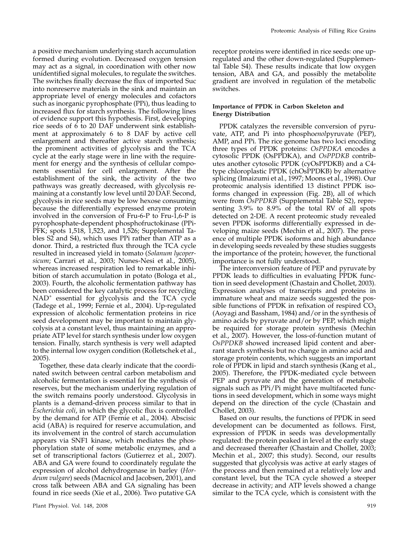a positive mechanism underlying starch accumulation formed during evolution. Decreased oxygen tension may act as a signal, in coordination with other now unidentified signal molecules, to regulate the switches. The switches finally decrease the flux of imported Suc into nonreserve materials in the sink and maintain an appropriate level of energy molecules and cofactors such as inorganic pyrophosphate (PPi), thus leading to increased flux for starch synthesis. The following lines of evidence support this hypothesis. First, developing rice seeds of 6 to 20 DAF underwent sink establishment at approximately 6 to 8 DAF by active cell enlargement and thereafter active starch synthesis; the prominent activities of glycolysis and the TCA cycle at the early stage were in line with the requirement for energy and the synthesis of cellular components essential for cell enlargement. After the establishment of the sink, the activity of the two pathways was greatly decreased, with glycolysis remaining at a constantly low level until 20 DAF. Second, glycolysis in rice seeds may be low hexose consuming because the differentially expressed enzyme protein involved in the conversion of Fru-6-P to Fru-1,6-P is pyrophosphate-dependent phosphofructokinase (PPi-PFK; spots 1,518, 1,523, and 1,526; Supplemental Tables S2 and S4), which uses PPi rather than ATP as a donor. Third, a restricted flux through the TCA cycle resulted in increased yield in tomato (Solanum lycopersicum; Carrari et al., 2003; Nunes-Nesi et al., 2005), whereas increased respiration led to remarkable inhibition of starch accumulation in potato (Bologa et al., 2003). Fourth, the alcoholic fermentation pathway has been considered the key catalytic process for recycling NAD<sup>+</sup> essential for glycolysis and the TCA cycle (Tadege et al., 1999; Fernie et al., 2004). Up-regulated expression of alcoholic fermentation proteins in rice seed development may be important to maintain glycolysis at a constant level, thus maintaining an appropriate ATP level for starch synthesis under low oxygen tension. Finally, starch synthesis is very well adapted to the internal low oxygen condition (Rolletschek et al., 2005).

Together, these data clearly indicate that the coordinated switch between central carbon metabolism and alcoholic fermentation is essential for the synthesis of reserves, but the mechanism underlying regulation of the switch remains poorly understood. Glycolysis in plants is a demand-driven process similar to that in Escherichia coli, in which the glycolic flux is controlled by the demand for ATP (Fernie et al., 2004). Abscisic acid (ABA) is required for reserve accumulation, and its involvement in the control of starch accumulation appears via SNF1 kinase, which mediates the phosphorylation state of some metabolic enzymes, and a set of transcriptional factors (Gutierrez et al., 2007). ABA and GA were found to coordinately regulate the expression of alcohol dehydrogenase in barley (Hordeum vulgare) seeds (Macnicol and Jacobsen, 2001), and cross talk between ABA and GA signaling has been found in rice seeds (Xie et al., 2006). Two putative GA

receptor proteins were identified in rice seeds: one upregulated and the other down-regulated (Supplemental Table S4). These results indicate that low oxygen tension, ABA and GA, and possibly the metabolite gradient are involved in regulation of the metabolic switches.

## Importance of PPDK in Carbon Skeleton and Energy Distribution

PPDK catalyzes the reversible conversion of pyruvate, ATP, and Pi into phosphoenolpyruvate (PEP), AMP, and PPi. The rice genome has two loci encoding three types of PPDK proteins: OsPPDKA encodes a cytosolic PPDK (OsPPDKA), and OsPPDKB contributes another cytosolic PPDK (cyOsPPDKB) and a C4 type chloroplastic PPDK (chOsPPDKB) by alternative splicing (Imaizumi et al., 1997; Moons et al., 1998). Our proteomic analysis identified 13 distinct PPDK isoforms changed in expression (Fig. 2B), all of which were from OsPPDKB (Supplemental Table S2), representing 3.9% to 8.9% of the total RV of all spots detected on 2-DE. A recent proteomic study revealed seven PPDK isoforms differentially expressed in developing maize seeds (Mechin et al., 2007). The presence of multiple PPDK isoforms and high abundance in developing seeds revealed by these studies suggests the importance of the protein; however, the functional importance is not fully understood.

The interconversion feature of PEP and pyruvate by PPDK leads to difficulties in evaluating PPDK function in seed development (Chastain and Chollet, 2003). Expression analyses of transcripts and proteins in immature wheat and maize seeds suggested the possible functions of PPDK in refixation of respired  $CO<sub>2</sub>$ (Aoyagi and Bassham, 1984) and/or in the synthesis of amino acids by pyruvate and/or by PEP, which might be required for storage protein synthesis (Mechin et al., 2007). However, the loss-of-function mutant of OsPPDKB showed increased lipid content and aberrant starch synthesis but no change in amino acid and storage protein contents, which suggests an important role of PPDK in lipid and starch synthesis (Kang et al., 2005). Therefore, the PPDK-mediated cycle between PEP and pyruvate and the generation of metabolic signals such as PPi/Pi might have multifaceted functions in seed development, which in some ways might depend on the direction of the cycle (Chastain and Chollet, 2003).

Based on our results, the functions of PPDK in seed development can be documented as follows. First, expression of PPDK in seeds was developmentally regulated: the protein peaked in level at the early stage and decreased thereafter (Chastain and Chollet, 2003; Mechin et al., 2007; this study). Second, our results suggested that glycolysis was active at early stages of the process and then remained at a relatively low and constant level, but the TCA cycle showed a steeper decrease in activity; and ATP levels showed a change similar to the TCA cycle, which is consistent with the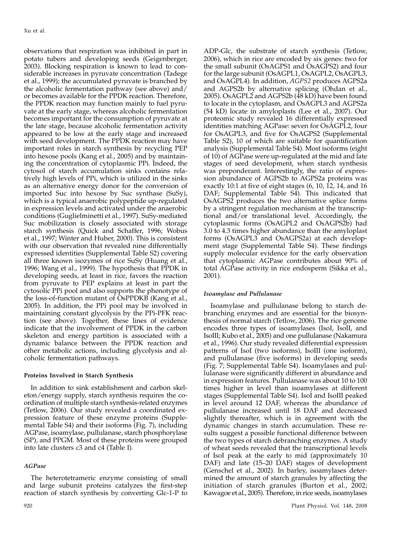observations that respiration was inhibited in part in potato tubers and developing seeds (Geigenberger, 2003). Blocking respiration is known to lead to considerable increases in pyruvate concentration (Tadege et al., 1999); the accumulated pyruvate is branched by the alcoholic fermentation pathway (see above) and/ or becomes available for the PPDK reaction. Therefore, the PPDK reaction may function mainly to fuel pyruvate at the early stage, whereas alcoholic fermentation becomes important for the consumption of pyruvate at the late stage, because alcoholic fermentation activity appeared to be low at the early stage and increased with seed development. The PPDK reaction may have important roles in starch synthesis by recycling PEP into hexose pools (Kang et al., 2005) and by maintaining the concentration of cytoplasmic PPi. Indeed, the cytosol of starch accumulation sinks contains relatively high levels of PPi, which is utilized in the sinks as an alternative energy donor for the conversion of imported Suc into hexose by Suc synthase (SuSy), which is a typical anaerobic polypeptide up-regulated in expression levels and activated under the anaerobic conditions (Guglielminetti et al., 1997). SuSy-mediated Suc mobilization is closely associated with storage starch synthesis (Quick and Schaffer, 1996; Wobus et al., 1997; Winter and Huber, 2000). This is consistent with our observation that revealed nine differentially expressed identities (Supplemental Table S2) covering all three known isozymes of rice SuSy (Huang et al., 1996; Wang et al., 1999). The hypothesis that PPDK in developing seeds, at least in rice, favors the reaction from pyruvate to PEP explains at least in part the cytosolic PPi pool and also supports the phenotype of the loss-of-function mutant of OsPPDKB (Kang et al., 2005). In addition, the PPi pool may be involved in maintaining constant glycolysis by the PPi-PFK reaction (see above). Together, these lines of evidence indicate that the involvement of PPDK in the carbon skeleton and energy partition is associated with a dynamic balance between the PPDK reaction and other metabolic actions, including glycolysis and alcoholic fermentation pathways.

#### Proteins Involved in Starch Synthesis

In addition to sink establishment and carbon skeleton/energy supply, starch synthesis requires the coordination of multiple starch synthesis-related enzymes (Tetlow, 2006). Our study revealed a coordinated expression feature of these enzyme proteins (Supplemental Table S4) and their isoforms (Fig. 7), including AGPase, isoamylase, pullulanase, starch phosphorylase (SP), and PPGM. Most of these proteins were grouped into late clusters c3 and c4 (Table I).

# AGPase

ADP-Glc, the substrate of starch synthesis (Tetlow, 2006), which in rice are encoded by six genes: two for the small subunit (OsAGPS1 and OsAGPS2) and four for the large subunit (OsAGPL1, OsAGPL2, OsAGPL3, and OsAGPL4). In addition, AGPS2 produces AGPS2a and AGPS2b by alternative splicing (Ohdan et al., 2005). OsAGPL2 and AGPS2b (48 kD) have been found to locate in the cytoplasm, and OsAGPL3 and AGPS2a (54 kD) locate in amyloplasts (Lee et al., 2007). Our proteomic study revealed 16 differentially expressed identities matching AGPase: seven for OsAGPL2, four for OsAGPL3, and five for OsAGPS2 (Supplemental Table S2), 10 of which are suitable for quantification analysis (Supplemental Table S4). Most isoforms (eight of 10) of AGPase were up-regulated at the mid and late stages of seed development, when starch synthesis was preponderant. Interestingly, the ratio of expression abundance of AGPS2b to AGPS2a proteins was exactly 10:1 at five of eight stages (6, 10, 12, 14, and 16 DAF; Supplemental Table S4). This indicated that OsAGPS2 produces the two alternative splice forms by a stringent regulation mechanism at the transcriptional and/or translational level. Accordingly, the cytoplasmic forms (OsAGPL2 and OsAGPS2b) had 3.0 to 4.3 times higher abundance than the amyloplast forms (OsAGPL3 and OsAGPS2a) at each development stage (Supplemental Table S4). These findings supply molecular evidence for the early observation that cytoplasmic AGPase contributes about 90% of total AGPase activity in rice endosperm (Sikka et al., 2001).

#### Isoamylase and Pullulanase

Isoamylase and pullulanase belong to starch debranching enzymes and are essential for the biosynthesis of normal starch (Tetlow, 2006). The rice genome encodes three types of isoamylases (IsoI, IsoII, and IsoIII; Kubo et al., 2005) and one pullulanase (Nakamura et al., 1996). Our study revealed differential expression patterns of IsoI (two isoforms), IsoIII (one isoform), and pullulanase (five isoforms) in developing seeds (Fig. 7; Supplemental Table S4). Isoamylases and pullulanase were significantly different in abundance and in expression features. Pullulanase was about 10 to 100 times higher in level than isoamylases at different stages (Supplemental Table S4). IsoI and IsoIII peaked in level around 12 DAF, whereas the abundance of pullulanase increased until 18 DAF and decreased slightly thereafter, which is in agreement with the dynamic changes in starch accumulation. These results suggest a possible functional difference between the two types of starch debranching enzymes. A study of wheat seeds revealed that the transcriptional levels of IsoI peak at the early to mid (approximately 10 DAF) and late (15–20 DAF) stages of development (Genschel et al., 2002). In barley, isoamylases determined the amount of starch granules by affecting the initiation of starch granules (Burton et al., 2002; Kawagoe et al., 2005). Therefore, in rice seeds, isoamylases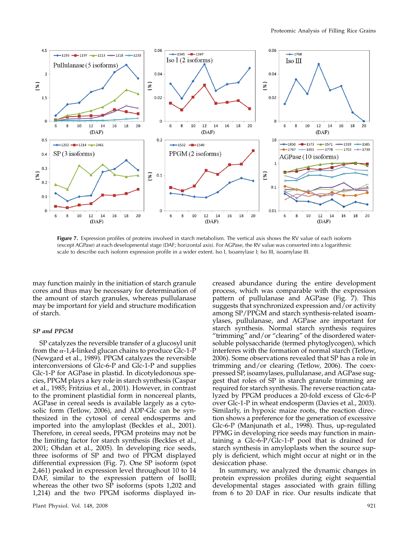

Figure 7. Expression profiles of proteins involved in starch metabolism. The vertical axis shows the RV value of each isoform (except AGPase) at each developmental stage (DAF; horizontal axis). For AGPase, the RV value was converted into a logarithmic scale to describe each isoform expression profile in a wider extent. Iso I, Isoamylase I; Iso III, isoamylase III.

may function mainly in the initiation of starch granule cores and thus may be necessary for determination of the amount of starch granules, whereas pullulanase may be important for yield and structure modification of starch.

#### SP and PPGM

SP catalyzes the reversible transfer of a glucosyl unit from the  $\alpha$ -1,4-linked glucan chains to produce Glc-1-P (Newgard et al., 1989). PPGM catalyzes the reversible interconversions of Glc-6-P and Glc-1-P and supplies Glc-1-P for AGPase in plastid. In dicotyledonous species, PPGM plays a key role in starch synthesis (Caspar et al., 1985; Fritzius et al., 2001). However, in contrast to the prominent plastidial form in noncereal plants, AGPase in cereal seeds is available largely as a cytosolic form (Tetlow, 2006), and ADP-Glc can be synthesized in the cytosol of cereal endosperms and imported into the amyloplast (Beckles et al., 2001). Therefore, in cereal seeds, PPGM proteins may not be the limiting factor for starch synthesis (Beckles et al., 2001; Ohdan et al., 2005). In developing rice seeds, three isoforms of SP and two of PPGM displayed differential expression (Fig. 7). One SP isoform (spot 2,461) peaked in expression level throughout 10 to 14 DAF, similar to the expression pattern of IsoIII; whereas the other two SP isoforms (spots 1,202 and 1,214) and the two PPGM isoforms displayed in-

creased abundance during the entire development process, which was comparable with the expression pattern of pullulanase and AGPase (Fig. 7). This suggests that synchronized expression and/or activity among SP/PPGM and starch synthesis-related isoamylases, pullulanase, and AGPase are important for starch synthesis. Normal starch synthesis requires "trimming" and/or "clearing" of the disordered watersoluble polysaccharide (termed phytoglycogen), which interferes with the formation of normal starch (Tetlow, 2006). Some observations revealed that SP has a role in trimming and/or clearing (Tetlow, 2006). The coexpressed SP, isoamylases, pullulanase, and AGPase suggest that roles of SP in starch granule trimming are required for starch synthesis. The reverse reaction catalyzed by PPGM produces a 20-fold excess of Glc-6-P over Glc-1-P in wheat endosperm (Davies et al., 2003). Similarly, in hypoxic maize roots, the reaction direction shows a preference for the generation of excessive Glc-6-P (Manjunath et al., 1998). Thus, up-regulated PPMG in developing rice seeds may function in maintaining a Glc-6-P/Glc-1-P pool that is drained for starch synthesis in amyloplasts when the source supply is deficient, which might occur at night or in the desiccation phase.

In summary, we analyzed the dynamic changes in protein expression profiles during eight sequential developmental stages associated with grain filling from 6 to 20 DAF in rice. Our results indicate that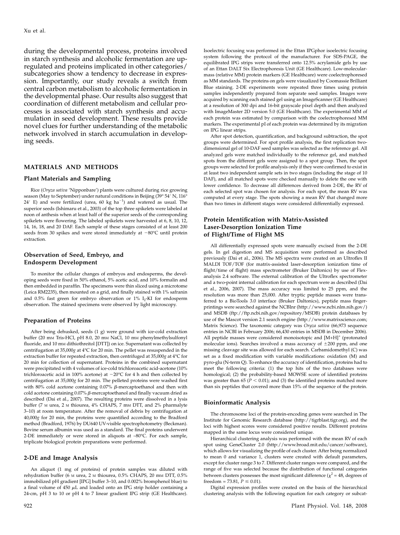during the developmental process, proteins involved in starch synthesis and alcoholic fermentation are upregulated and proteins implicated in other categories/ subcategories show a tendency to decrease in expression. Importantly, our study reveals a switch from central carbon metabolism to alcoholic fermentation in the developmental phase. Our results also suggest that coordination of different metabolism and cellular processes is associated with starch synthesis and accumulation in seed development. These results provide novel clues for further understanding of the metabolic network involved in starch accumulation in developing seeds.

#### MATERIALS AND METHODS

#### Plant Materials and Sampling

Rice (Oryza sativa 'Nipponbare') plants were cultured during rice growing season (May to September) under natural conditions in Beijing (39° 54' N, 116° 24' E) and were fertilized (urea, 60 kg ha<sup>-1</sup>) and watered as usual. The superior seeds (Ishimaru et al., 2003) of the top three spikelets were labeled at noon of anthesis when at least half of the superior seeds of the corresponding spikelets were flowering. The labeled spikelets were harvested at 6, 8, 10, 12, 14, 16, 18, and 20 DAF. Each sample of these stages consisted of at least 200 seeds from 30 spikes and were stored immediately at  $-80^{\circ}$ C until protein extraction.

#### Observation of Seed, Embryo, and Endosperm Development

To monitor the cellular changes of embryos and endosperms, the developing seeds were fixed in 50% ethanol, 5% acetic acid, and 10% formalin and then embedded in paraffin. The specimens were thin sliced using a microtome (Leica RM2235), then mounted on a grid, and finally stained with 1% safranin and  $0.5\%$  fast green for embryo observation or  $1\%$  I<sub>2</sub>-KI for endosperm observation. The stained specimens were observed by light microscopy.

#### Preparation of Proteins

After being dehusked, seeds (1 g) were ground with ice-cold extraction buffer (20 mm Tris-HCl, pH 8.0, 20 mm NaCl, 10 mm phenylmethylsulfonyl fluoride, and 10 mm dithiothreitol [DTT]) on ice. Supernatant was collected by centrifugation at  $35,000g$  at  $4^{\circ}$ C for 20 min. The pellet was resuspended in the extraction buffer for repeated extraction, then centrifuged at  $35,000g$  at  $4^{\circ}$ C for 20 min for collection of supernatant. Proteins in the combined supernatant were precipitated with 4 volumes of ice-cold trichloroacetic acid-acetone (10% trichloroacetic acid in 100% acetone) at  $-20^{\circ}$ C for 4 h and then collected by centrifugation at 35,000g for 20 min. The pelleted proteins were washed first with 80% cold acetone containing  $0.07\%$   $\beta$ -mercaptoethanol and then with cold acetone containing  $0.07\%$   $\beta$ -mercaptoethanol and finally vacuum dried as described (Dai et al., 2007). The resulting proteins were dissolved in a lysis buffer (7 M urea, 2 M thiourea, 4% CHAPS, 7 mM DTT, and 2% pharmalyte 3–10) at room temperature. After the removal of debris by centrifugation at 40,000g for 20 min, the proteins were quantified according to the Bradford method (Bradford, 1976) by DU640 UV-visible spectrophotometry (Beckman). Bovine serum albumin was used as a standard. The final proteins underwent 2-DE immediately or were stored in aliquots at -80°C. For each sample, triplicate biological protein preparations were performed.

#### 2-DE and Image Analysis

An aliquot (1 mg of proteins) of protein samples was diluted with rehydration buffer (6 M urea, 2 M thiourea, 0.5% CHAPS, 20 mM DTT, 0.5% immobilized pH gradient [IPG] buffer 3–10, and 0.002% bromphenol blue) to a final volume of  $450 \mu L$  and loaded onto an IPG strip holder containing a 24-cm, pH 3 to 10 or pH 4 to 7 linear gradient IPG strip (GE Healthcare).

Isoelectric focusing was performed in the Ettan IPGphor isoelectric focusing system following the protocol of the manufacturer. For SDS-PAGE, the equilibrated IPG strips were transferred onto 12.5% acrylamide gels by use of an Ettan DALT Six Electrophoresis Unit (GE Healthcare). Low-molecularmass (relative MM) protein markers (GE Healthcare) were coelectrophoresed as MM standards. The proteins on gels were visualized by Coomassie Brilliant Blue staining. 2-DE experiments were repeated three times using protein samples independently prepared from separate seed samples. Images were acquired by scanning each stained gel using an ImageScanner (GE Healthcare) at a resolution of 300 dpi and 16-bit grayscale pixel depth and then analyzed with ImageMaster 2D version 5.0 (GE Healthcare). The experimental MM of each protein was estimated by comparison with the coelectrophoresed MM markers. The experimental pI of each protein was determined by its migration on IPG linear strips.

After spot detection, quantification, and background subtraction, the spot groups were determined. For spot profile analysis, the first replication twodimensional gel of 10-DAF seed samples was selected as the reference gel. All analyzed gels were matched individually to the reference gel, and matched spots from the different gels were assigned to a spot group. Then, the spot groups were selected for profile analysis only if they were confirmed to exist in at least two independent sample sets in two stages (including the stage of 10 DAF), and all matched spots were checked manually to delete the one with lower confidence. To decrease all differences derived from 2-DE, the RV of each selected spot was chosen for analysis. For each spot, the mean RV was computed at every stage. The spots showing a mean RV that changed more than two times in different stages were considered differentially expressed.

## Protein Identification with Matrix-Assisted Laser-Desorption Ionization Time of Flight/Time of Flight MS

All differentially expressed spots were manually excised from the 2-DE gels. In gel digestion and MS acquisition were performed as described previously (Dai et al., 2006). The MS spectra were created on an Ultroflex II MALDI TOF/TOF (for matrix-assisted laser-desorption ionization time of flight/time of flight) mass spectrometer (Bruker Daltonics) by use of Flexanalysis 2.4 software. The external calibration of the Ultroflex spectrometer and a two-point internal calibration for each spectrum were as described (Dai et al., 2006, 2007). The mass accuracy was limited to 25 ppm, and the resolution was more than 25,000. After tryptic peptide masses were transferred to a BioTools 3.0 interface (Bruker Daltonics), peptide mass fingerprintings were searched against the NCBInr (http://www.ncbi.nlm.nih.gov/) and MSDB (ftp://ftp.ncbi.nih.gov/repository/MSDB) protein databases by use of the Mascot version 2.1 search engine (http://www.matrixscience.com; Matrix Science). The taxonomic category was Oryza sativa (66,973 sequence entries in NCBI in February 2006; 66,430 entries in MSDB in December 2006). All peptide masses were considered monoisotopic and  $[M+H]$ <sup>+</sup> (protonated molecular ions). Searches involved a mass accuracy of  $\pm 200$  ppm, and one missing cleavage site was allowed for each search. Carbamidomethyl (C) was set as a fixed modification with variable modifications: oxidation (M) and pyro-glu (N-term Q). To enhance the accuracy of identification, proteins had to meet the following criteria: (1) the top hits of the two databases were homological; (2) the probability-based MOWSE score of identified proteins was greater than 65 ( $P < 0.01$ ); and (3) the identified proteins matched more than six peptides that covered more than 15% of the sequence of the protein.

#### Bioinformatic Analysis

The chromosome loci of the protein-encoding genes were searched in The Institute for Genomic Research database (http://tigrblast.tigr.org), and the loci with highest scores were considered positive results. Different proteins mapped in the same locus were considered unique.

Hierarchical clustering analysis was performed with the mean RV of each spot using GeneCluster 2.0 (http://www.broad.mit.edu/cancer/software), which allows for visualizing the profile of each cluster. After being normalized to mean 0 and variance 1, clusters were created with default parameters, except for cluster range 3 to 7. Different cluster ranges were compared, and the range of five was selected because the distribution of functional categories between clusters possesses the most significant difference ( $\chi^2$  = 48, degrees of freedom = 73.81,  $P \le 0.01$ ).

Digital expression profiles were created on the basis of the hierarchical clustering analysis with the following equation for each category or subcat-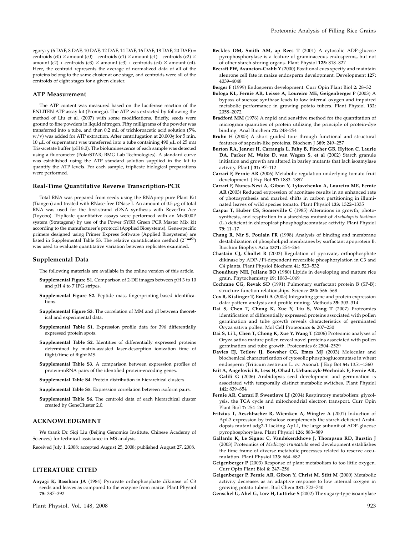#### ATP Measurement

The ATP content was measured based on the luciferase reaction of the ENLITEN ATP assay kit (Promega). The ATP was extracted by following the method of Liu et al. (2007) with some modifications. Briefly, seeds were ground to fine powders in liquid nitrogen. Fifty milligrams of the powder was transferred into a tube, and then 0.2 mL of trichloroacetic acid solution (5%, w/v) was added for ATP extraction. After centrifugation at 20,000g for 5 min, 10  $\mu$ L of supernatant was transferred into a tube containing 490  $\mu$ L of 25 mm Tris-acetate buffer (pH 8.0). The bioluminescence of each sample was detected using a fluorometer (PolarSTAR; BMG Lab Technologies). A standard curve was established using the ATP standard solution supplied in the kit to quantify the ATP levels. For each sample, triplicate biological preparations were performed.

#### Real-Time Quantitative Reverse Transcription-PCR

Total RNA was prepared from seeds using the RNAprep pure Plant Kit (Tiangen) and treated with RNase-free DNase I. An amount of  $0.5 \mu g$  of total RNA was used for the first-strand cDNA synthesis with ReverTra Ace (Toyobo). Triplicate quantitative assays were performed with an Mx3000P system (Stratagene) by use of the Power SYBR Green PCR Master Mix kit according to the manufacturer's protocol (Applied Biosystems). Gene-specific primers designed using Primer Express Software (Applied Biosystems) are listed in Supplemental Table S3. The relative quantification method  $(2^{-\Delta\Delta Ct})$ was used to evaluate quantitative variation between replicates examined.

#### Supplemental Data

The following materials are available in the online version of this article.

- Supplemental Figure S1. Comparison of 2-DE images between pH 3 to 10 and pH 4 to 7 IPG stripes.
- Supplemental Figure S2. Peptide mass fingerprinting-based identifications.
- Supplemental Figure S3. The correlation of MM and pI between theoretical and experimental data.
- Supplemental Table S1. Expression profile data for 396 differentially expressed protein spots.
- Supplemental Table S2. Identities of differentially expressed proteins determined by matrix-assisted laser-desorption ionization time of flight/time of flight MS.
- Supplemental Table S3. A comparison between expression profiles of protein-mRNA pairs of the identified protein-encoding genes.
- Supplemental Table S4. Protein distribution in hierarchical clusters.
- Supplemental Table S5. Expression correlation between isoform pairs.
- Supplemental Table S6. The centroid data of each hierarchical cluster created by GeneCluster 2.0.

## ACKNOWLEDGMENT

We thank Dr. Siqi Liu (Beijing Genomics Institute, Chinese Academy of Sciences) for technical assistance in MS analysis.

Received July 1, 2008; accepted August 25, 2008; published August 27, 2008.

# LITERATURE CITED

Aoyagi K, Bassham JA (1984) Pyruvate orthophosphate dikinase of C3 seeds and leaves as compared to the enzyme from maize. Plant Physiol 75: 387–392

Plant Physiol. Vol. 148, 2008 923

- Beckles DM, Smith AM, ap Rees T (2001) A cytosolic ADP-glucose pyrophosphorylase is a feature of graminaceous endosperms, but not of other starch-storing organs. Plant Physiol 125: 818–827
- Becraft PW, Asuncion-Crabb Y (2000) Positional cues specify and maintain aleurone cell fate in maize endosperm development. Development 127: 4039–4048
- Berger F (1999) Endosperm development. Curr Opin Plant Biol 2: 28–32
- Bologa KL, Fernie AR, Leisse A, Loureiro ME, Geigenberger P (2003) A bypass of sucrose synthase leads to low internal oxygen and impaired metabolic performance in growing potato tubers. Plant Physiol 132: 2058–2072
- Bradford MM (1976) A rapid and sensitive method for the quantitation of microgram quantities of protein utilizing the principle of protein-dye binding. Anal Biochem 72: 248–254
- Bruhn H (2005) A short guided tour through functional and structural features of saposin-like proteins. Biochem J 389: 249–257
- Burton RA, Jenner H, Carrangis L, Fahy B, Fincher GB, Hylton C, Laurie DA, Parker M, Waite D, van Wegen S, et al (2002) Starch granule initiation and growth are altered in barley mutants that lack isoamylase activity. Plant J 31: 97–112
- Carrari F, Fernie AR (2006) Metabolic regulation underlying tomato fruit development. J Exp Bot 57: 1883–1897
- Carrari F, Nunes-Nesi A, Gibon Y, Lytovchenko A, Loureiro ME, Fernie AR (2003) Reduced expression of aconitase results in an enhanced rate of photosynthesis and marked shifts in carbon partitioning in illuminated leaves of wild species tomato. Plant Physiol 133: 1322–1335
- Caspar T, Huber CS, Somerville C (1985) Alterations in growth, photosynthesis, and respiration in a starchless mutant of Arabidopsis thaliana (L.) deficient in chloroplast phosphoglucomutase activity. Plant Physiol 79: 11–17
- Chang R, Nir S, Poulain FR (1998) Analysis of binding and membrane destabilization of phospholipid membranes by surfactant apoprotein B. Biochim Biophys Acta 1371: 254–264
- Chastain CJ, Chollet R (2003) Regulation of pyruvate, orthophosphate dikinase by ADP-/Pi-dependent reversible phosphorylation in C3 and C4 plants. Plant Physiol Biochem 41: 523–532
- Choudhury NH, Juliano BO (1980) Lipids in developing and mature rice grain. Phytochemistry 19: 1063–1069
- Cochrane CG, Revak SD (1991) Pulmonary surfactant protein B (SP-B): structure-function relationships. Science 254: 566–568
- Cox B, Kislinger T, Emili A (2005) Integrating gene and protein expression data: pattern analysis and profile mining. Methods 35: 303–314
- Dai S, Chen T, Chong K, Xue Y, Liu S, Wang T (2007) Proteomics identification of differentially expressed proteins associated with pollen germination and tube growth reveals characteristics of germinated Oryza sativa pollen. Mol Cell Proteomics 6: 207–230
- Dai S, Li L, Chen T, Chong K, Xue Y, Wang T (2006) Proteomic analyses of Oryza sativa mature pollen reveal novel proteins associated with pollen germination and tube growth. Proteomics 6: 2504–2529
- Davies EJ, Tetlow IJ, Bowsher CG, Emes MJ (2003) Molecular and biochemical characterization of cytosolic phosphoglucomutase in wheat endosperm (Triticum aestivum L. cv. Axona). J Exp Bot 54: 1351–1360
- Fait A, Angelovici R, Less H, Ohad I, Urbanczyk-Wochniak E, Fernie AR, Galili G (2006) Arabidopsis seed development and germination is associated with temporally distinct metabolic switches. Plant Physiol 142: 839–854
- Fernie AR, Carrari F, Sweetlove LJ (2004) Respiratory metabolism: glycolysis, the TCA cycle and mitochondrial electron transport. Curr Opin Plant Biol 7: 254–261
- Fritzius T, Aeschbacher R, Wiemken A, Wingler A (2001) Induction of ApL3 expression by trehalose complements the starch-deficient Arabidopsis mutant adg2-1 lacking ApL1, the large subunit of ADP-glucose pyrophosphorylase. Plant Physiol 126: 883–889
- Gallardo K, Le Signor C, Vandekerckhove J, Thompson RD, Burstin J (2003) Proteomics of Medicago truncatula seed development establishes the time frame of diverse metabolic processes related to reserve accumulation. Plant Physiol 133: 664–682
- Geigenberger P (2003) Response of plant metabolism to too little oxygen. Curr Opin Plant Biol 6: 247–256
- Geigenberger P, Fernie AR, Gibon Y, Christ M, Stitt M (2000) Metabolic activity decreases as an adaptive response to low internal oxygen in growing potato tubers. Biol Chem 381: 723–740
- Genschel U, Abel G, Lorz H, Lutticke S (2002) The sugary-type isoamylase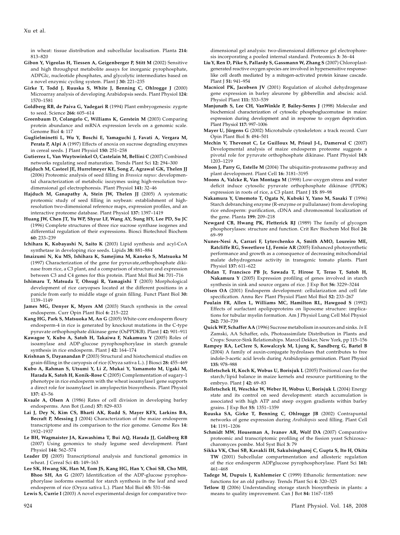Xu et al.

in wheat: tissue distribution and subcellular localisation. Planta 214: 813–820

- Gibon Y, Vigeolas H, Tiessen A, Geigenberger P, Stitt M (2002) Sensitive and high throughput metabolite assays for inorganic pyrophosphate, ADPGlc, nucleotide phosphates, and glycolytic intermediates based on a novel enzymic cycling system. Plant J 30: 221–235
- Girke T, Todd J, Ruuska S, White J, Benning C, Ohlrogge J (2000) Microarray analysis of developing Arabidopsis seeds. Plant Physiol 124: 1570–1581
- Goldberg RB, de Paiva G, Yadegari R (1994) Plant embryogenesis: zygote to seed. Science 266: 605–614
- Greenbaum D, Colangelo C, Williams K, Gerstein M (2003) Comparing protein abundance and mRNA expression levels on a genomic scale. Genome Biol 4: 117
- Guglielminetti L, Wu Y, Boschi E, Yamaguchi J, Favati A, Vergara M, Perata P, Alpi A (1997) Effects of anoxia on sucrose degrading enzymes in cereal seeds. J Plant Physiol 150: 251–258
- Gutierrez L, Van Wuytswinkel O, Castelain M, Bellini C (2007) Combined networks regulating seed maturation. Trends Plant Sci 12: 294–300
- Hajduch M, Casteel JE, Hurrelmeyer KE, Song Z, Agrawal GK, Thelen JJ (2006) Proteomic analysis of seed filling in Brassica napus: developmental characterization of metabolic isozymes using high-resolution twodimensional gel electrophoresis. Plant Physiol 141: 32–46
- Hajduch M, Ganapathy A, Stein JW, Thelen JJ (2005) A systematic proteomic study of seed filling in soybean: establishment of highresolution two-dimensional reference maps, expression profiles, and an interactive proteome database. Plant Physiol 137: 1397–1419
- Huang JW, Chen JT, Yu WP, Shyur LF, Wang AY, Sung HY, Lee PD, Su JC (1996) Complete structures of three rice sucrose synthase isogenes and differential regulation of their expressions. Biosci Biotechnol Biochem 60: 233–239
- Ichihara K, Kobayashi N, Saito K (2003) Lipid synthesis and acyl-CoA synthetase in developing rice seeds. Lipids 38: 881–884
- Imaizumi N, Ku MS, Ishihara K, Samejima M, Kaneko S, Matsuoka M (1997) Characterization of the gene for pyruvate,orthophosphate dikinase from rice, a C3 plant, and a comparison of structure and expression between C3 and C4 genes for this protein. Plant Mol Biol 34: 701–716
- Ishimaru T, Matsuda T, Ohsugi R, Yamagishi T (2003) Morphological development of rice caryopses located at the different positions in a panicle from early to middle stage of grain filling. Funct Plant Biol 30: 1139–1149
- James MG, Denyer K, Myers AM (2003) Starch synthesis in the cereal endosperm. Curr Opin Plant Biol 6: 215–222
- Kang HG, Park S, Matsuoka M, An G (2005) White-core endosperm floury endosperm-4 in rice is generated by knockout mutations in the C-type pyruvate orthophosphate dikinase gene (OsPPDKB). Plant J 42: 901–911
- Kawagoe Y, Kubo A, Satoh H, Takaiwa F, Nakamura Y (2005) Roles of isoamylase and ADP-glucose pyrophosphorylase in starch granule synthesis in rice endosperm. Plant J 42: 164–174
- Krishnan S, Dayanandan P (2003) Structural and histochemical studies on grain-filling in the caryopsis of rice (Oryza sativa L.). J Biosci 28: 455–469
- Kubo A, Rahman S, Utsumi Y, Li Z, Mukai Y, Yamamoto M, Ugaki M, Harada K, Satoh H, Konik-Rose C (2005) Complementation of sugary-1 phenotype in rice endosperm with the wheat isoamylase1 gene supports a direct role for isoamylase1 in amylopectin biosynthesis. Plant Physiol 137: 43–56
- Kvaale A, Olsen A (1986) Rates of cell division in developing barley endosperms. Ann Bot (Lond) 57: 829–833
- Lai J, Dey N, Kim CS, Bharti AK, Rudd S, Mayer KFX, Larkins BA, Becraft P, Messing J (2004) Characterization of the maize endosperm transcriptome and its comparison to the rice genome. Genome Res 14: 1932–1937
- Le BH, Wagmaister JA, Kawashima T, Bui AQ, Harada JJ, Goldberg RB (2007) Using genomics to study legume seed development. Plant Physiol 144: 562–574
- Leader DJ (2005) Transcriptional analysis and functional genomics in wheat. J Cereal Sci 41: 149–163
- Lee SK, Hwang SK, Han M, Eom JS, Kang HG, Han Y, Choi SB, Cho MH, Bhoo SH, An G (2007) Identification of the ADP-glucose pyrophosphorylase isoforms essential for starch synthesis in the leaf and seed endosperm of rice (Oryza sativa L.). Plant Mol Biol 65: 531–546

Lewis S, Currie I (2003) A novel experimental design for comparative two-

dimensional gel analysis: two-dimensional difference gel electrophoresis incorporating a pooled internal standard. Proteomics 3: 36–44

- Liu Y, Ren D, Pike S, Pallardy S, Gassmann W, Zhang S (2007) Chloroplastgenerated reactive oxygen species are involved in hypersensitive responselike cell death mediated by a mitogen-activated protein kinase cascade. Plant J 51: 941–954
- Macnicol PK, Jacobsen JV (2001) Regulation of alcohol dehydrogenase gene expression in barley aleurone by gibberellin and abscisic acid. Physiol Plant 111: 533–539
- Manjunath S, Lee CH, VanWinkle P, Bailey-Serres J (1998) Molecular and biochemical characterization of cytosolic phosphoglucomutase in maize: expression during development and in response to oxygen deprivation. Plant Physiol 117: 997–1006
- Mayer U, Jürgens G (2002) Microtubule cytoskeleton: a track record. Curr Opin Plant Biol 5: 494–501
- Mechin V, Thevenot C, Le Guilloux M, Prioul J-L, Damerval C (2007) Developmental analysis of maize endosperm proteome suggests a pivotal role for pyruvate orthophosphate dikinase. Plant Physiol 143: 1203–1219
- Moon J, Parry G, Estelle M (2004) The ubiquitin-proteasome pathway and plant development. Plant Cell 16: 3181–3195
- Moons A, Valcke R, Van Montagu M (1998) Low-oxygen stress and water deficit induce cytosolic pyruvate orthophosphate dikinase (PPDK) expression in roots of rice, a C3 plant. Plant J 15: 89–98
- Nakamura Y, Umemoto T, Ogata N, Kuboki Y, Yano M, Sasaki T (1996) Starch debranching enzyme (R-enzyme or pullulanase) from developing rice endosperm: purification, cDNA and chromosomal localization of the gene. Planta 199: 209–218
- Newgard CB, Hwang PK, Fletterick RJ (1989) The family of glycogen phosphorylases: structure and function. Crit Rev Biochem Mol Biol 24: 69–99
- Nunes-Nesi A, Carrari F, Lytovchenko A, Smith AMO, Loureiro ME, Ratcliffe RG, Sweetlove LJ, Fernie AR (2005) Enhanced photosynthetic performance and growth as a consequence of decreasing mitochondrial malate dehydrogenase activity in transgenic tomato plants. Plant Physiol 137: 611–622
- Ohdan T, Francisco PB Jr, Sawada T, Hirose T, Terao T, Satoh H, Nakamura Y (2005) Expression profiling of genes involved in starch synthesis in sink and source organs of rice. J Exp Bot 56: 3229–3244
- Olsen OA (2001) Endosperm development: cellularization and cell fate specification. Annu Rev Plant Physiol Plant Mol Biol 52: 233–267
- Poulain FR, Allen L, Williams MC, Hamilton RL, Hawgood S (1992) Effects of surfactant apolipoproteins on liposome structure: implications for tubular myelin formation. Am J Physiol Lung Cell Mol Physiol 262: 730–739
- Quick WP, Schaffer AA (1996) Sucrose metabolism in sources and sinks. In E Zamski, AA Schaffer, eds, Photoassimilate Distribution in Plants and Crops: Source-Sink Relationships. Marcel Dekker, New York, pp 115–156
- Rampey RA, LeClere S, Kowalczyk M, Ljung K, Sandberg G, Bartel B (2004) A family of auxin-conjugate hydrolases that contributes to free indole-3-acetic acid levels during Arabidopsis germination. Plant Physiol 135: 978–988
- Rolletschek H, Koch K, Wobus U, Borisjuk L (2005) Positional cues for the starch/lipid balance in maize kernels and resource partitioning to the embryo. Plant J 42: 69–83
- Rolletschek H, Weschke W, Weber H, Wobus U, Borisjuk L (2004) Energy state and its control on seed development: starch accumulation is associated with high ATP and steep oxygen gradients within barley grains. J Exp Bot 55: 1351–1359
- Ruuska SA, Girke T, Benning C, Ohlrogge JB (2002) Contrapuntal networks of gene expression during Arabidopsis seed filling. Plant Cell 14: 1191–1206
- Schmidt MW, Houseman A, Ivanov AR, Wolf DA (2007) Comparative proteomic and transcriptomic profiling of the fission yeast Schizosaccharomyces pombe. Mol Syst Biol 3: 79
- Sikka VK, Choi SB, Kavakli IH, Sakulsingharoj C, Gupta S, Ito H, Okita TW (2001) Subcellular compartmentation and allosteric regulation of the rice endosperm ADPglucose pyrophosphorylase. Plant Sci 161: 461–468
- Tadege M, Dupuis I, Kuhlemeier C (1999) Ethanolic fermentation: new functions for an old pathway. Trends Plant Sci 4: 320–325
- Tetlow IJ (2006) Understanding storage starch biosynthesis in plants: a means to quality improvement. Can J Bot 84: 1167–1185